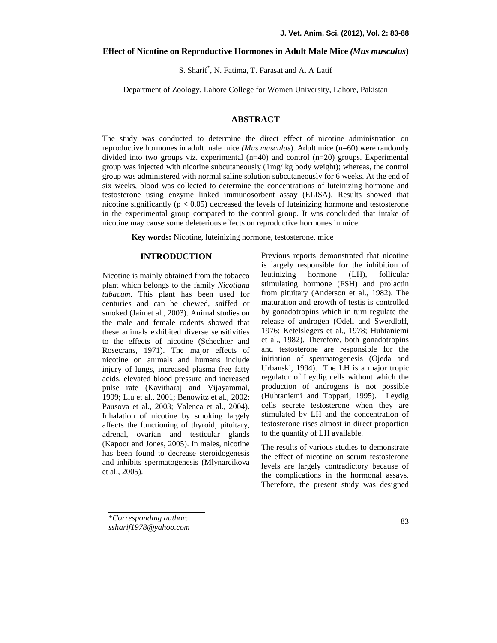## **Effect of Nicotine on Reproductive Hormones in Adult Male Mice** *(Mus musculus***)**

S. Sharif\* , N. Fatima, T. Farasat and A. A Latif

Department of Zoology, Lahore College for Women University, Lahore, Pakistan

## **ABSTRACT**

The study was conducted to determine the direct effect of nicotine administration on reproductive hormones in adult male mice *(Mus musculus*). Adult mice (n=60) were randomly divided into two groups viz. experimental  $(n=40)$  and control  $(n=20)$  groups. Experimental group was injected with nicotine subcutaneously (1mg/ kg body weight); whereas, the control group was administered with normal saline solution subcutaneously for 6 weeks. At the end of six weeks, blood was collected to determine the concentrations of luteinizing hormone and testosterone using enzyme linked immunosorbent assay (ELISA). Results showed that nicotine significantly ( $p < 0.05$ ) decreased the levels of luteinizing hormone and testosterone in the experimental group compared to the control group. It was concluded that intake of nicotine may cause some deleterious effects on reproductive hormones in mice.

**Key words:** Nicotine, luteinizing hormone, testosterone, mice

## **INTRODUCTION**

Nicotine is mainly obtained from the tobacco leutinizing plant which belongs to the family *Nicotiana tabacum*. This plant has been used for centuries and can be chewed, sniffed or smoked (Jain et al., 2003). Animal studies on the male and female rodents showed that these animals exhibited diverse sensitivities to the effects of nicotine (Schechter and Rosecrans, 1971). The major effects of nicotine on animals and humans include injury of lungs, increased plasma free fatty acids, elevated blood pressure and increased pulse rate (Kavitharaj and Vijayammal, 1999; Liu et al., 2001; Benowitz et al., 2002; Pausova et al., 2003; Valenca et al., 2004). Inhalation of nicotine by smoking largely affects the functioning of thyroid, pituitary, adrenal, ovarian and testicular glands (Kapoor and Jones, 2005). In males, nicotine has been found to decrease steroidogenesis and inhibits spermatogenesis (Mlynarcikova et al., 2005).

Previous reports demonstrated that nicotine is largely responsible for the inhibition of hormone (LH), follicular stimulating hormone (FSH) and prolactin from pituitary (Anderson et al., 1982). The maturation and growth of testis is controlled by gonadotropins which in turn regulate the release of androgen (Odell and Swerdloff, 1976; Ketelslegers et al., 1978; Huhtaniemi et al., 1982). Therefore, both gonadotropins and testosterone are responsible for the initiation of spermatogenesis (Ojeda and Urbanski, 1994). The LH is a major tropic regulator of Leydig cells without which the production of androgens is not possible (Huhtaniemi and Toppari, 1995). Leydig cells secrete testosterone when they are stimulated by LH and the concentration of testosterone rises almost in direct proportion to the quantity of LH available.

The results of various studies to demonstrate the effect of nicotine on serum testosterone levels are largely contradictory because of the complications in the hormonal assays. Therefore, the present study was designed

\**Corresponding author: ssharif1978@yahoo.com*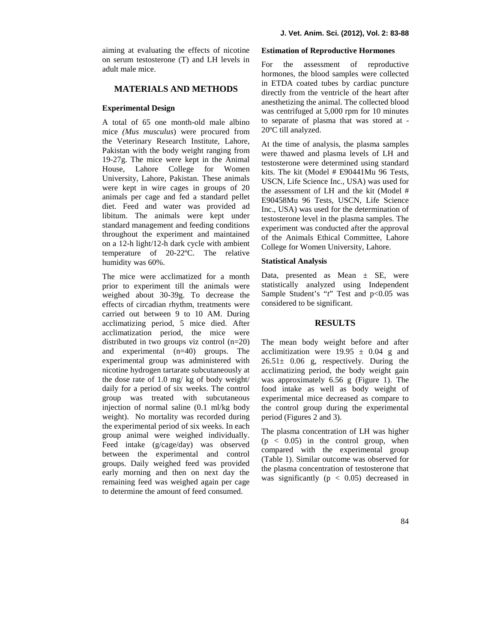aiming at evaluating the effects of nicotine on serum testosterone  $(T)$  and LH levels in For adult male mice.

# **MATERIALS AND METHODS**

## **Experimental Design**

A total of 65 one month-old male albino mice *(Mus musculus*) were procured from the Veterinary Research Institute, Lahore, Pakistan with the body weight ranging from 19-27g. The mice were kept in the Animal House, Lahore College for Women University, Lahore, Pakistan. These animals were kept in wire cages in groups of 20 animals per cage and fed a standard pellet diet. Feed and water was provided ad libitum. The animals were kept under standard management and feeding conditions throughout the experiment and maintained on a 12-h light/12-h dark cycle with ambient temperature of 20-22ºC. The relative humidity was 60%.

The mice were acclimatized for a month prior to experiment till the animals were weighed about 30-39g. To decrease the effects of circadian rhythm, treatments were carried out between 9 to 10 AM. During acclimatizing period, 5 mice died. After acclimatization period, the mice were distributed in two groups viz control (n=20) and experimental (n=40) groups. The experimental group was administered with nicotine hydrogen tartarate subcutaneously at the dose rate of 1.0 mg/ kg of body weight/ daily for a period of six weeks. The control group was treated with subcutaneous injection of normal saline (0.1 ml/kg body weight). No mortality was recorded during the experimental period of six weeks. In each group animal were weighed individually. Feed intake (g/cage/day) was observed between the experimental and control groups. Daily weighed feed was provided early morning and then on next day the remaining feed was weighed again per cage to determine the amount of feed consumed.

#### **Estimation of Reproductive Hormones**

the assessment of reproductive hormones, the blood samples were collected in ETDA coated tubes by cardiac puncture directly from the ventricle of the heart after anesthetizing the animal. The collected blood was centrifuged at 5,000 rpm for 10 minutes to separate of plasma that was stored at - 20ºC till analyzed.

At the time of analysis, the plasma samples were thawed and plasma levels of LH and testosterone were determined using standard kits. The kit (Model # E90441Mu 96 Tests, USCN, Life Science Inc., USA) was used for the assessment of LH and the kit (Model # E90458Mu 96 Tests, USCN, Life Science Inc., USA) was used for the determination of testosterone level in the plasma samples. The experiment was conducted after the approval of the Animals Ethical Committee, Lahore College for Women University, Lahore.

### **Statistical Analysis**

Data, presented as Mean  $\pm$  SE, were statistically analyzed using Independent Sample Student's "*t*" Test and  $p<0.05$  was considered to be significant.

### **RESULTS**

The mean body weight before and after acclimitization were  $19.95 \pm 0.04$  g and  $26.51 \pm 0.06$  g, respectively. During the acclimatizing period, the body weight gain was approximately 6.56 g (Figure 1). The food intake as well as body weight of experimental mice decreased as compare to the control group during the experimental period (Figures 2 and 3).

The plasma concentration of LH was higher  $(p < 0.05)$  in the control group, when compared with the experimental group (Table 1). Similar outcome was observed for the plasma concentration of testosterone that was significantly ( $p < 0.05$ ) decreased in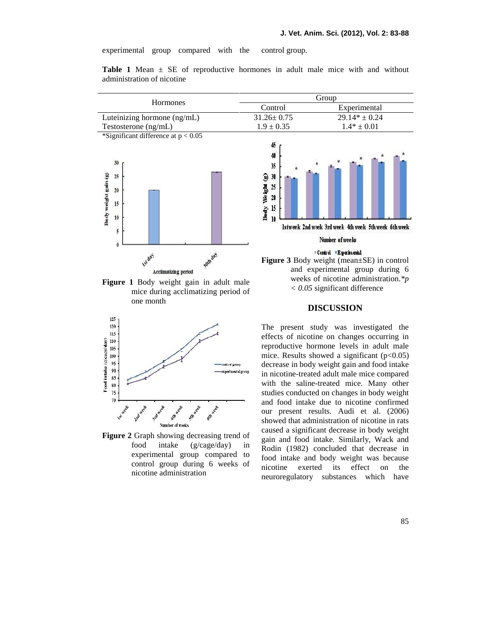experimental group compared with the control group.

**Table 1** Mean  $\pm$  SE of reproductive hormones in adult male mice with and without administration of nicotine



**Figure 1** Body weight gain in adult male mice during acclimatizing period of one month



**Figure 2** Graph showing decreasing trend of food intake (g/cage/day) in experimental group compared to control group during 6 weeks of nicotine nicotine administration



# **DISCUSSION**

The present study was investigated the effects of nicotine on changes occurring in reproductive hormone levels in adult male mice. Results showed a significant  $(p<0.05)$ decrease in body weight gain and food intake in nicotine-treated adult male mice compared with the saline-treated mice. Many other studies conducted on changes in body weight and food intake due to nicotine confirmed our present results. Audi et al. (2006) showed that administration of nicotine in rats caused a significant decrease in body weight gain and food intake. Similarly, Wack and Rodin (1982) concluded that decrease in food intake and body weight was because exerted its effect on the neuroregulatory substances which have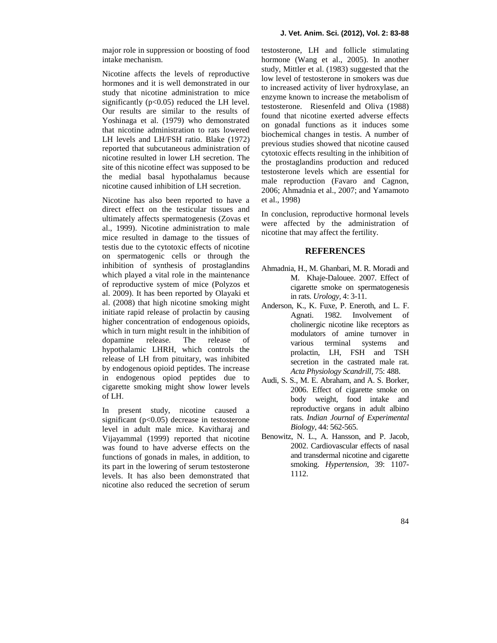Nicotine affects the levels of reproductive hormones and it is well demonstrated in our study that nicotine administration to mice significantly  $(p<0.05)$  reduced the LH level. Our results are similar to the results of Yoshinaga et al. (1979) who demonstrated that nicotine administration to rats lowered LH levels and LH/FSH ratio. Blake (1972) reported that subcutaneous administration of nicotine resulted in lower LH secretion. The site of this nicotine effect was supposed to be the medial basal hypothalamus because nicotine caused inhibition of LH secretion.

Nicotine has also been reported to have a direct effect on the testicular tissues and ultimately affects spermatogenesis (Zovas et al., 1999). Nicotine administration to male mice resulted in damage to the tissues of testis due to the cytotoxic effects of nicotine on spermatogenic cells or through the inhibition of synthesis of prostaglandins which played a vital role in the maintenance of reproductive system of mice (Polyzos et al. 2009). It has been reported by Olayaki et al. (2008) that high nicotine smoking might initiate rapid release of prolactin by causing higher concentration of endogenous opioids, which in turn might result in the inhibition of dopamine release. The release of hypothalamic LHRH, which controls the release of LH from pituitary, was inhibited by endogenous opioid peptides. The increase in endogenous opiod peptides due to cigarette smoking might show lower levels of LH.

In present study, nicotine caused a significant ( $p<0.05$ ) decrease in testosterone level in adult male mice. Kavitharaj and Vijayammal (1999) reported that nicotine was found to have adverse effects on the functions of gonads in males, in addition, to its part in the lowering of serum testosterone levels. It has also been demonstrated that nicotine also reduced the secretion of serum

testosterone, LH and follicle stimulating hormone (Wang et al., 2005). In another study, Mittler et al. (1983) suggested that the low level of testosterone in smokers was due to increased activity of liver hydroxylase, an enzyme known to increase the metabolism of testosterone. Riesenfeld and Oliva (1988) found that nicotine exerted adverse effects on gonadal functions as it induces some biochemical changes in testis. A number of previous studies showed that nicotine caused cytotoxic effects resulting in the inhibition of the prostaglandins production and reduced testosterone levels which are essential for male reproduction (Favaro and Cagnon, 2006; Ahmadnia et al., 2007; and Yamamoto et al., 1998)

In conclusion, reproductive hormonal levels were affected by the administration of nicotine that may affect the fertility.

## **REFERENCES**

- Ahmadnia, H., M. Ghanbari, M. R. Moradi and M. Khaje-Dalouee. 2007. Effect of cigarette smoke on spermatogenesis in rats. *Urology,* 4: 3-11.
- Anderson, K., K. Fuxe, P. Eneroth, and L. F. Agnati. 1982. Involvement of cholinergic nicotine like receptors as modulators of amine turnover in various terminal systems and prolactin, LH, FSH and TSH secretion in the castrated male rat. *Acta Physiology Scandrill,* 75: 488.
- Audi, S. S., M. E. Abraham, and A. S. Borker, 2006. Effect of cigarette smoke on body weight, food intake and reproductive organs in adult albino rats. *Indian Journal of Experimental Biology*, 44: 562-565.
- Benowitz, N. L., A. Hansson, and P. Jacob, 2002. Cardiovascular effects of nasal and transdermal nicotine and cigarette smoking. *Hypertension,* 39: 1107- 1112.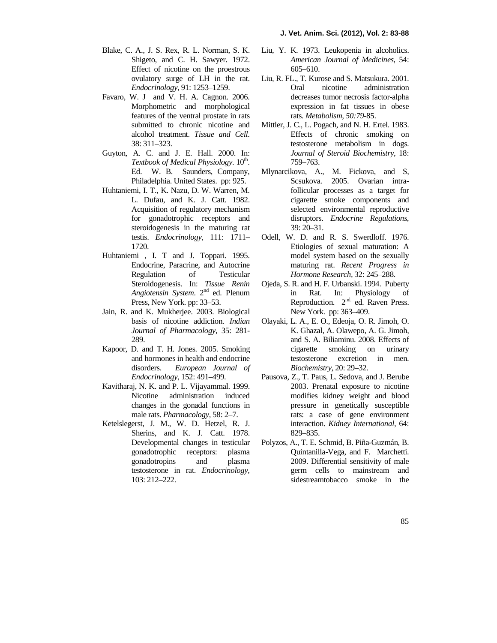- Blake, C. A., J. S. Rex, R. L. Norman, S. K. Shigeto, and C. H. Sawyer. 1972. Effect of nicotine on the proestrous ovulatory surge of LH in the rat. *Endocrinology,* 91: 1253–1259.
- Favaro, W. J and V. H. A. Cagnon. 2006. Morphometric and morphological features of the ventral prostate in rats submitted to chronic nicotine and alcohol treatment. *Tissue and Cell*. 38: 311–323.
- Guyton, A. C. and J. E. Hall. 2000. In: Textbook of Medical Physiology. 10<sup>th</sup>. Ed. W. B. Saunders, Company, Philadelphia. United States. pp: 925.
- Huhtaniemi, I. T., K. Nazu, D. W. Warren, M. L. Dufau, and K. J. Catt. 1982. Acquisition of regulatory mechanism for gonadotrophic receptors and steroidogenesis in the maturing rat testis. *Endocrinology,* 111: 1711– 1720.
- Huhtaniemi , I. T and J. Toppari. 1995. Endocrine, Paracrine, and Autocrine Regulation of Testicular Steroidogenesis. In: *Tissue Renin Angiotensin System.*  $2^{nd}$  ed. Plenum in Press, New York. pp: 33–53.
- Jain, R. and K. Mukherjee. 2003. Biological basis of nicotine addiction. *Indian Journal of Pharmacology*, 35: 281- 289.
- Kapoor, D. and T. H. Jones. 2005. Smoking and hormones in health and endocrine disorders. *European Journal of Endocrinology*, 152: 491–499.
- Kavitharaj, N. K. and P. L. Vijayammal. 1999. Nicotine administration induced changes in the gonadal functions in male rats. *Pharmacology,* 58: 2–7.
- Ketelslegerst, J. M., W. D. Hetzel, R. J. Sherins, and K. J. Catt. 1978. Developmental changes in testicular gonadotrophic receptors: plasma gonadotropins and plasma testosterone in rat. *Endocrinology,* 103: 212–222.
- Liu, Y. K. 1973. Leukopenia in alcoholics. *American Journal of Medicines*, 54: 605–610.
- Liu, R. FL., T. Kurose and S. Matsukura. 2001. Oral nicotine administration decreases tumor necrosis factor-alpha expression in fat tissues in obese rats. *Metabolism, 50:79-*85.
- Mittler, J. C., L. Pogach, and N. H. Ertel. 1983. Effects of chronic smoking on testosterone metabolism in dogs. *Journal of Steroid Biochemistry*, 18: 759–763.
- Mlynarcikova, A., M. Fickova, and S, Scsukova. 2005. Ovarian intrafollicular processes as a target for cigarette smoke components and selected environmental reproductive disruptors. *Endocrine Regulations*, 39: 20–31.
- Odell, W. D. and R. S. Swerdloff. 1976. Etiologies of sexual maturation: A model system based on the sexually maturing rat. *Recent Progress in Hormone Research,* 32: 245–288.
- Ojeda, S. R. and H. F. Urbanski. 1994. Puberty Rat. In: Physiology of Reproduction.  $2^{nd}$  ed. Raven Press. New York. pp: 363–409.
- Olayaki, L. A., E. O., Edeoja, O. R. Jimoh, O. K. Ghazal, A. Olawepo, A. G. Jimoh, and S. A. Biliaminu. 2008. Effects of cigarette smoking on urinary testosterone excretion in men. *Biochemistry,* 20: 29–32.
- Pausova, Z., T. Paus, L. Sedova, and J. Berube 2003. Prenatal exposure to nicotine modifies kidney weight and blood pressure in genetically susceptible rats: a case of gene environment interaction. *Kidney International,* 64: 829–835.
- Polyzos, A., T. E. Schmid, B. Piña-Guzmán, B. Quintanilla-Vega, and F. Marchetti. 2009. Differential sensitivity of male germ cells to mainstream and sidestreamtobacco smoke in the